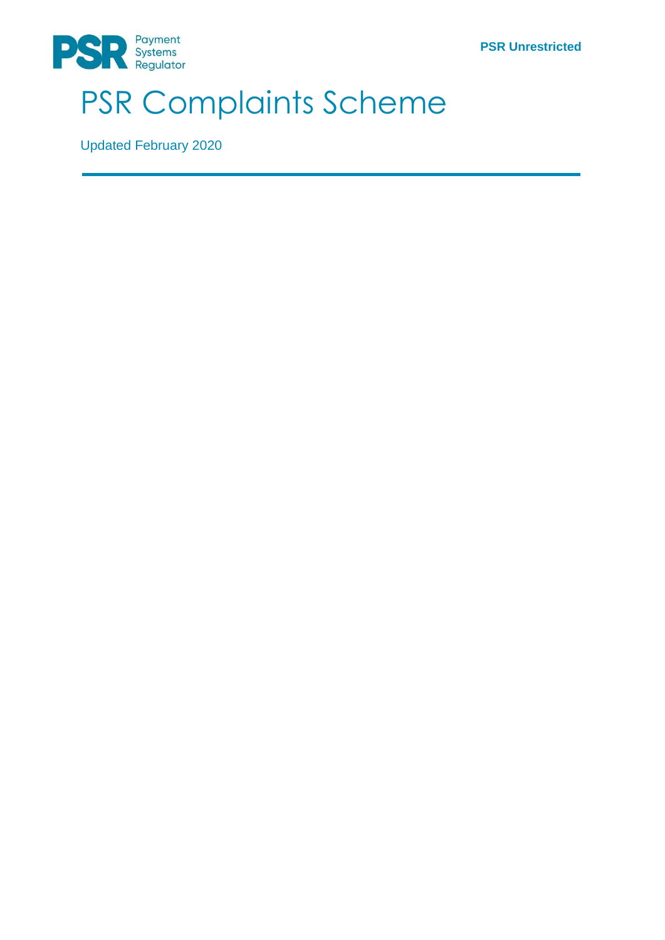**PSR Unrestricted**



# PSR Complaints Scheme

Updated February 2020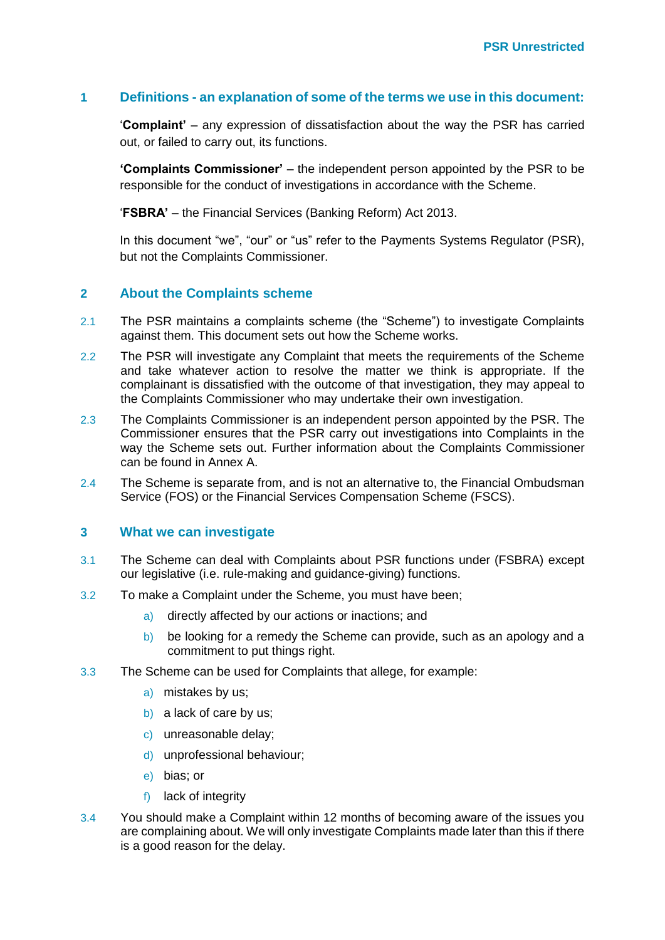#### **1 Definitions - an explanation of some of the terms we use in this document:**

'**Complaint'** – any expression of dissatisfaction about the way the PSR has carried out, or failed to carry out, its functions.

**'Complaints Commissioner'** – the independent person appointed by the PSR to be responsible for the conduct of investigations in accordance with the Scheme.

'**FSBRA'** – the Financial Services (Banking Reform) Act 2013.

In this document "we", "our" or "us" refer to the Payments Systems Regulator (PSR), but not the Complaints Commissioner.

### **2 About the Complaints scheme**

- 2.1 The PSR maintains a complaints scheme (the "Scheme") to investigate Complaints against them. This document sets out how the Scheme works.
- 2.2 The PSR will investigate any Complaint that meets the requirements of the Scheme and take whatever action to resolve the matter we think is appropriate. If the complainant is dissatisfied with the outcome of that investigation, they may appeal to the Complaints Commissioner who may undertake their own investigation.
- 2.3 The Complaints Commissioner is an independent person appointed by the PSR. The Commissioner ensures that the PSR carry out investigations into Complaints in the way the Scheme sets out. Further information about the Complaints Commissioner can be found in Annex A.
- 2.4 The Scheme is separate from, and is not an alternative to, the Financial Ombudsman Service (FOS) or the Financial Services Compensation Scheme (FSCS).

#### **3 What we can investigate**

- 3.1 The Scheme can deal with Complaints about PSR functions under (FSBRA) except our legislative (i.e. rule-making and guidance-giving) functions.
- 3.2 To make a Complaint under the Scheme, you must have been;
	- a) directly affected by our actions or inactions; and
	- b) be looking for a remedy the Scheme can provide, such as an apology and a commitment to put things right.
- 3.3 The Scheme can be used for Complaints that allege, for example:
	- a) mistakes by us;
	- b) a lack of care by us;
	- c) unreasonable delay;
	- d) unprofessional behaviour;
	- e) bias; or
	- f) lack of integrity
- 3.4 You should make a Complaint within 12 months of becoming aware of the issues you are complaining about. We will only investigate Complaints made later than this if there is a good reason for the delay.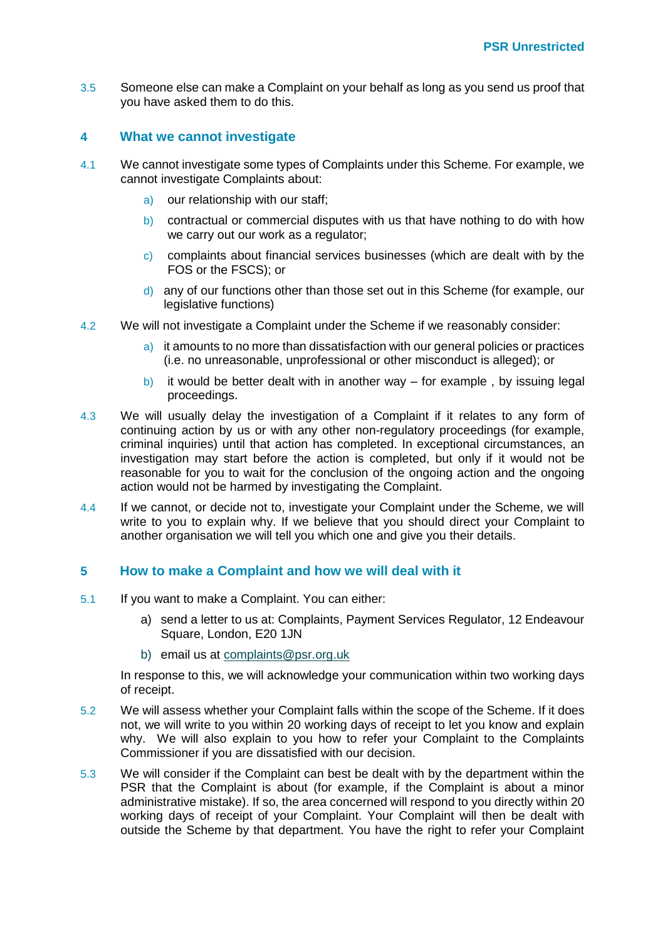3.5 Someone else can make a Complaint on your behalf as long as you send us proof that you have asked them to do this.

#### **4 What we cannot investigate**

- 4.1 We cannot investigate some types of Complaints under this Scheme. For example, we cannot investigate Complaints about:
	- a) our relationship with our staff;
	- b) contractual or commercial disputes with us that have nothing to do with how we carry out our work as a regulator;
	- c) complaints about financial services businesses (which are dealt with by the FOS or the FSCS); or
	- d) any of our functions other than those set out in this Scheme (for example, our legislative functions)
- 4.2 We will not investigate a Complaint under the Scheme if we reasonably consider:
	- a) it amounts to no more than dissatisfaction with our general policies or practices (i.e. no unreasonable, unprofessional or other misconduct is alleged); or
	- b) it would be better dealt with in another way  $-$  for example, by issuing legal proceedings.
- 4.3 We will usually delay the investigation of a Complaint if it relates to any form of continuing action by us or with any other non-regulatory proceedings (for example, criminal inquiries) until that action has completed. In exceptional circumstances, an investigation may start before the action is completed, but only if it would not be reasonable for you to wait for the conclusion of the ongoing action and the ongoing action would not be harmed by investigating the Complaint.
- 4.4 If we cannot, or decide not to, investigate your Complaint under the Scheme, we will write to you to explain why. If we believe that you should direct your Complaint to another organisation we will tell you which one and give you their details.

#### **5 How to make a Complaint and how we will deal with it**

- 5.1 If you want to make a Complaint. You can either:
	- a) send a letter to us at: Complaints, Payment Services Regulator, 12 Endeavour Square, London, E20 1JN
	- b) email us at [complaints@psr.org.uk](mailto:complaints@psr.org.uk)

In response to this, we will acknowledge your communication within two working days of receipt.

- 5.2 We will assess whether your Complaint falls within the scope of the Scheme. If it does not, we will write to you within 20 working days of receipt to let you know and explain why. We will also explain to you how to refer your Complaint to the Complaints Commissioner if you are dissatisfied with our decision.
- 5.3 We will consider if the Complaint can best be dealt with by the department within the PSR that the Complaint is about (for example, if the Complaint is about a minor administrative mistake). If so, the area concerned will respond to you directly within 20 working days of receipt of your Complaint. Your Complaint will then be dealt with outside the Scheme by that department. You have the right to refer your Complaint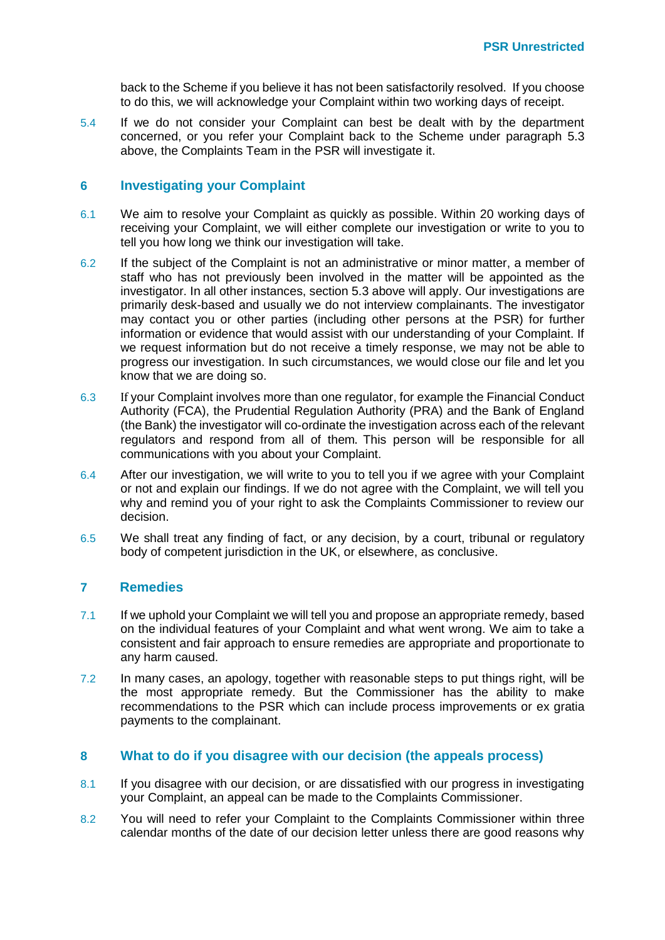back to the Scheme if you believe it has not been satisfactorily resolved. If you choose to do this, we will acknowledge your Complaint within two working days of receipt.

5.4 If we do not consider your Complaint can best be dealt with by the department concerned, or you refer your Complaint back to the Scheme under paragraph 5.3 above, the Complaints Team in the PSR will investigate it.

#### **6 Investigating your Complaint**

- 6.1 We aim to resolve your Complaint as quickly as possible. Within 20 working days of receiving your Complaint, we will either complete our investigation or write to you to tell you how long we think our investigation will take.
- 6.2 If the subject of the Complaint is not an administrative or minor matter, a member of staff who has not previously been involved in the matter will be appointed as the investigator. In all other instances, section 5.3 above will apply. Our investigations are primarily desk-based and usually we do not interview complainants. The investigator may contact you or other parties (including other persons at the PSR) for further information or evidence that would assist with our understanding of your Complaint. If we request information but do not receive a timely response, we may not be able to progress our investigation. In such circumstances, we would close our file and let you know that we are doing so.
- 6.3 If your Complaint involves more than one regulator, for example the Financial Conduct Authority (FCA), the Prudential Regulation Authority (PRA) and the Bank of England (the Bank) the investigator will co-ordinate the investigation across each of the relevant regulators and respond from all of them. This person will be responsible for all communications with you about your Complaint.
- 6.4 After our investigation, we will write to you to tell you if we agree with your Complaint or not and explain our findings. If we do not agree with the Complaint, we will tell you why and remind you of your right to ask the Complaints Commissioner to review our decision.
- 6.5 We shall treat any finding of fact, or any decision, by a court, tribunal or regulatory body of competent jurisdiction in the UK, or elsewhere, as conclusive.

#### **7 Remedies**

- 7.1 If we uphold your Complaint we will tell you and propose an appropriate remedy, based on the individual features of your Complaint and what went wrong. We aim to take a consistent and fair approach to ensure remedies are appropriate and proportionate to any harm caused.
- 7.2 In many cases, an apology, together with reasonable steps to put things right, will be the most appropriate remedy. But the Commissioner has the ability to make recommendations to the PSR which can include process improvements or ex gratia payments to the complainant.

#### **8 What to do if you disagree with our decision (the appeals process)**

- 8.1 If you disagree with our decision, or are dissatisfied with our progress in investigating your Complaint, an appeal can be made to the Complaints Commissioner.
- 8.2 You will need to refer your Complaint to the Complaints Commissioner within three calendar months of the date of our decision letter unless there are good reasons why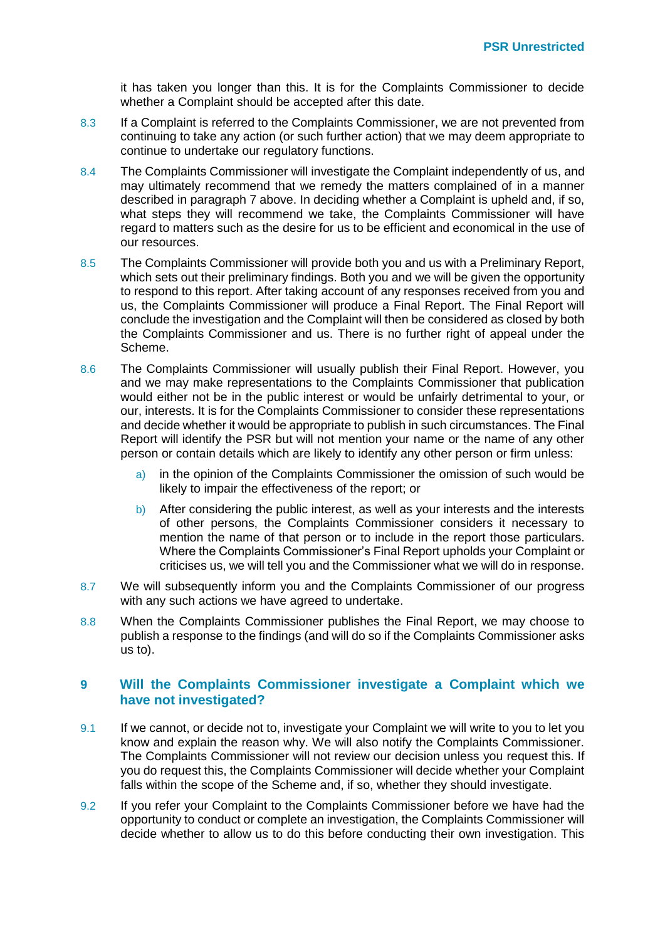it has taken you longer than this. It is for the Complaints Commissioner to decide whether a Complaint should be accepted after this date.

- 8.3 If a Complaint is referred to the Complaints Commissioner, we are not prevented from continuing to take any action (or such further action) that we may deem appropriate to continue to undertake our regulatory functions.
- 8.4 The Complaints Commissioner will investigate the Complaint independently of us, and may ultimately recommend that we remedy the matters complained of in a manner described in paragraph 7 above. In deciding whether a Complaint is upheld and, if so, what steps they will recommend we take, the Complaints Commissioner will have regard to matters such as the desire for us to be efficient and economical in the use of our resources.
- 8.5 The Complaints Commissioner will provide both you and us with a Preliminary Report, which sets out their preliminary findings. Both you and we will be given the opportunity to respond to this report. After taking account of any responses received from you and us, the Complaints Commissioner will produce a Final Report. The Final Report will conclude the investigation and the Complaint will then be considered as closed by both the Complaints Commissioner and us. There is no further right of appeal under the Scheme.
- 8.6 The Complaints Commissioner will usually publish their Final Report. However, you and we may make representations to the Complaints Commissioner that publication would either not be in the public interest or would be unfairly detrimental to your, or our, interests. It is for the Complaints Commissioner to consider these representations and decide whether it would be appropriate to publish in such circumstances. The Final Report will identify the PSR but will not mention your name or the name of any other person or contain details which are likely to identify any other person or firm unless:
	- a) in the opinion of the Complaints Commissioner the omission of such would be likely to impair the effectiveness of the report; or
	- b) After considering the public interest, as well as your interests and the interests of other persons, the Complaints Commissioner considers it necessary to mention the name of that person or to include in the report those particulars. Where the Complaints Commissioner's Final Report upholds your Complaint or criticises us, we will tell you and the Commissioner what we will do in response.
- 8.7 We will subsequently inform you and the Complaints Commissioner of our progress with any such actions we have agreed to undertake.
- 8.8 When the Complaints Commissioner publishes the Final Report, we may choose to publish a response to the findings (and will do so if the Complaints Commissioner asks us to).

### **9 Will the Complaints Commissioner investigate a Complaint which we have not investigated?**

- 9.1 If we cannot, or decide not to, investigate your Complaint we will write to you to let you know and explain the reason why. We will also notify the Complaints Commissioner. The Complaints Commissioner will not review our decision unless you request this. If you do request this, the Complaints Commissioner will decide whether your Complaint falls within the scope of the Scheme and, if so, whether they should investigate.
- 9.2 If you refer your Complaint to the Complaints Commissioner before we have had the opportunity to conduct or complete an investigation, the Complaints Commissioner will decide whether to allow us to do this before conducting their own investigation. This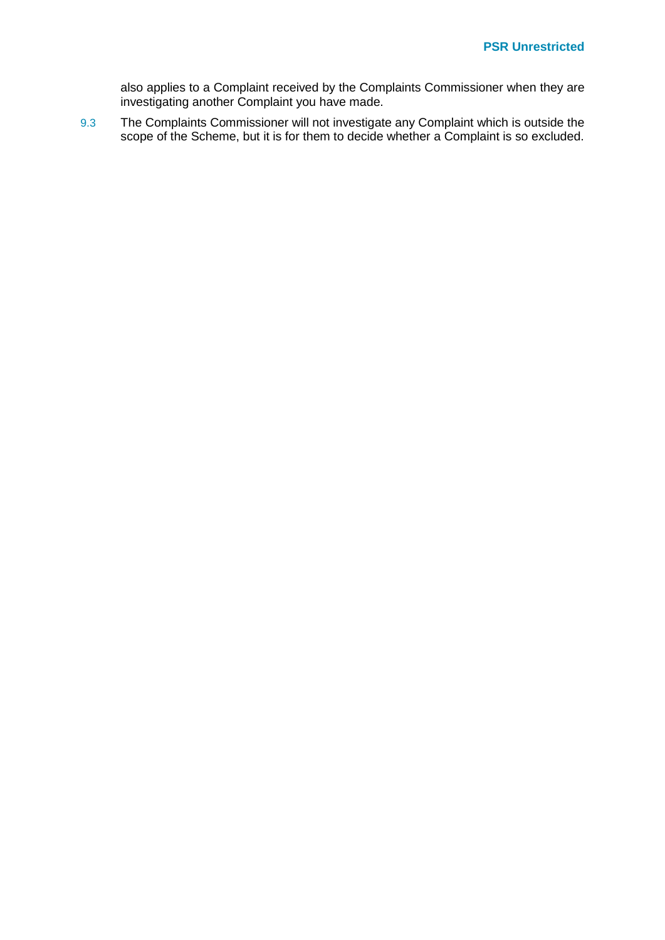also applies to a Complaint received by the Complaints Commissioner when they are investigating another Complaint you have made.

9.3 The Complaints Commissioner will not investigate any Complaint which is outside the scope of the Scheme, but it is for them to decide whether a Complaint is so excluded.